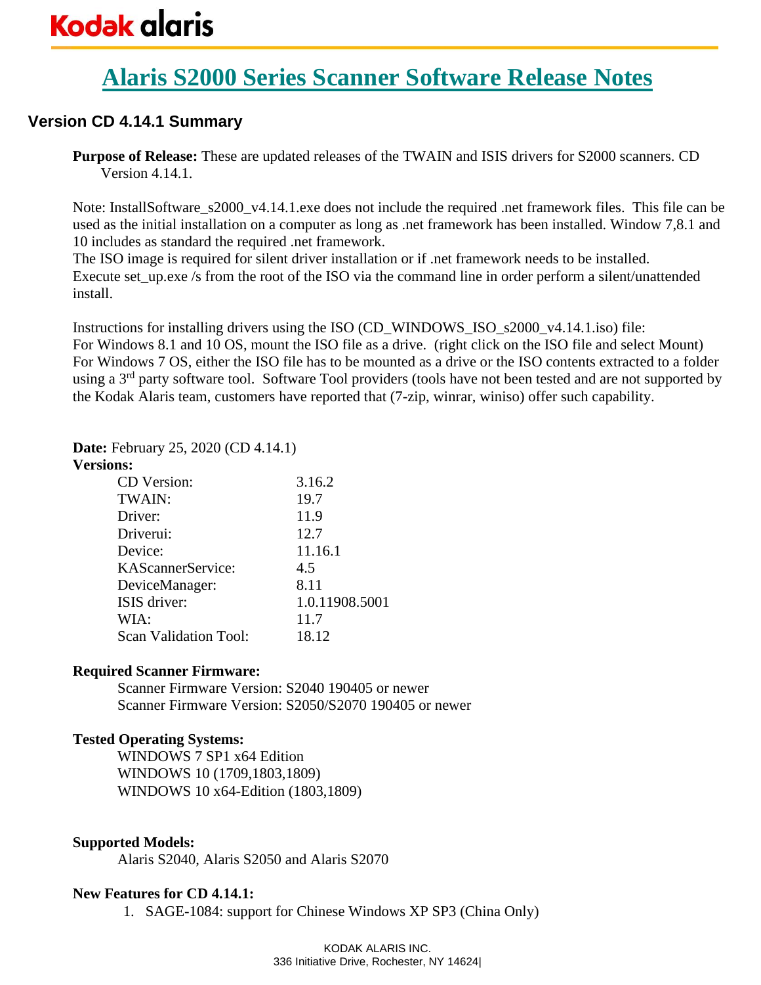# **Alaris S2000 Series Scanner Software Release Notes**

# **Version CD 4.14.1 Summary**

**Purpose of Release:** These are updated releases of the TWAIN and ISIS drivers for S2000 scanners. CD Version 4.14.1.

Note: InstallSoftware\_s2000\_v4.14.1.exe does not include the required .net framework files. This file can be used as the initial installation on a computer as long as .net framework has been installed. Window 7,8.1 and 10 includes as standard the required .net framework.

The ISO image is required for silent driver installation or if .net framework needs to be installed. Execute set up.exe /s from the root of the ISO via the command line in order perform a silent/unattended install.

Instructions for installing drivers using the ISO (CD\_WINDOWS\_ISO\_s2000\_v4.14.1.iso) file: For Windows 8.1 and 10 OS, mount the ISO file as a drive. (right click on the ISO file and select Mount) For Windows 7 OS, either the ISO file has to be mounted as a drive or the ISO contents extracted to a folder using a 3<sup>rd</sup> party software tool. Software Tool providers (tools have not been tested and are not supported by the Kodak Alaris team, customers have reported that (7-zip, winrar, winiso) offer such capability.

# **Date:** February 25, 2020 (CD 4.14.1)

#### **Versions:**

| CD Version:                  | 3.16.2         |
|------------------------------|----------------|
| TWAIN:                       | 19.7           |
| Driver:                      | 11.9           |
| Driverui:                    | 12.7           |
| Device:                      | 11.16.1        |
| KAScannerService:            | 4.5            |
| DeviceManager:               | 8.11           |
| ISIS driver:                 | 1.0.11908.5001 |
| WIA:                         | 11.7           |
| <b>Scan Validation Tool:</b> | 18.12          |

## **Required Scanner Firmware:**

Scanner Firmware Version: S2040 190405 or newer Scanner Firmware Version: S2050/S2070 190405 or newer

# **Tested Operating Systems:**

WINDOWS 7 SP1 x64 Edition WINDOWS 10 (1709,1803,1809) WINDOWS 10 x64-Edition (1803,1809)

# **Supported Models:**

Alaris S2040, Alaris S2050 and Alaris S2070

## **New Features for CD 4.14.1:**

1. SAGE-1084: support for Chinese Windows XP SP3 (China Only)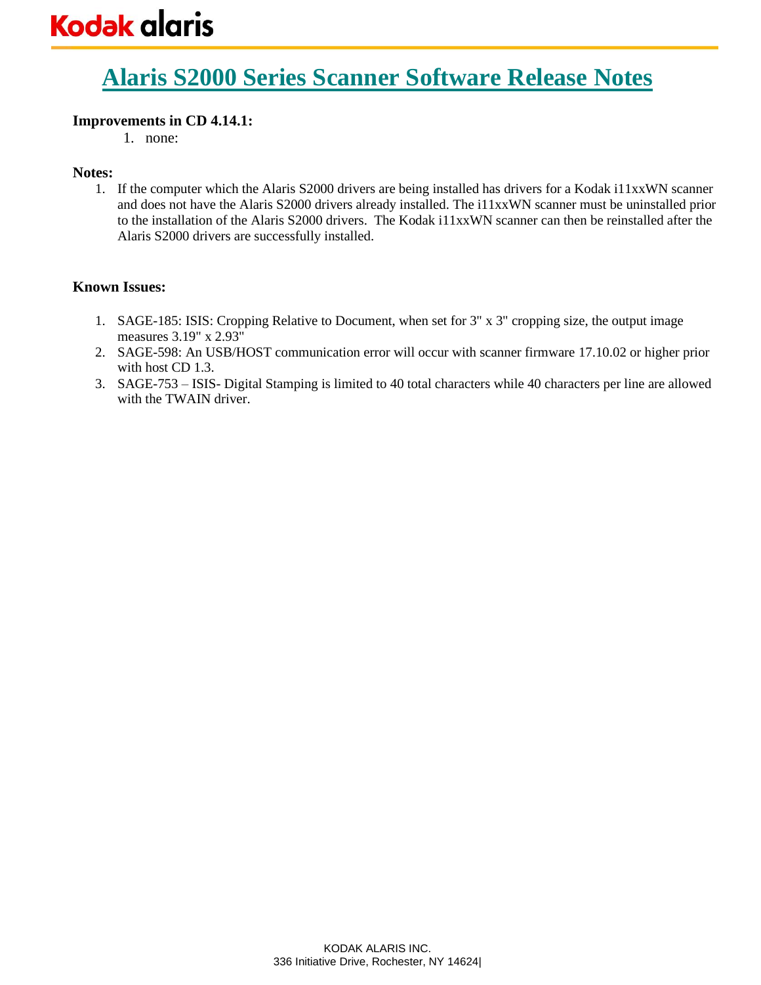# **Alaris S2000 Series Scanner Software Release Notes**

# **Improvements in CD 4.14.1:**

1. none:

# **Notes:**

1. If the computer which the Alaris S2000 drivers are being installed has drivers for a Kodak i11xxWN scanner and does not have the Alaris S2000 drivers already installed. The i11xxWN scanner must be uninstalled prior to the installation of the Alaris S2000 drivers. The Kodak i11xxWN scanner can then be reinstalled after the Alaris S2000 drivers are successfully installed.

- 1. SAGE-185: ISIS: Cropping Relative to Document, when set for 3" x 3" cropping size, the output image measures 3.19" x 2.93"
- 2. SAGE-598: An USB/HOST communication error will occur with scanner firmware 17.10.02 or higher prior with host CD 1.3.
- 3. SAGE-753 ISIS- Digital Stamping is limited to 40 total characters while 40 characters per line are allowed with the TWAIN driver.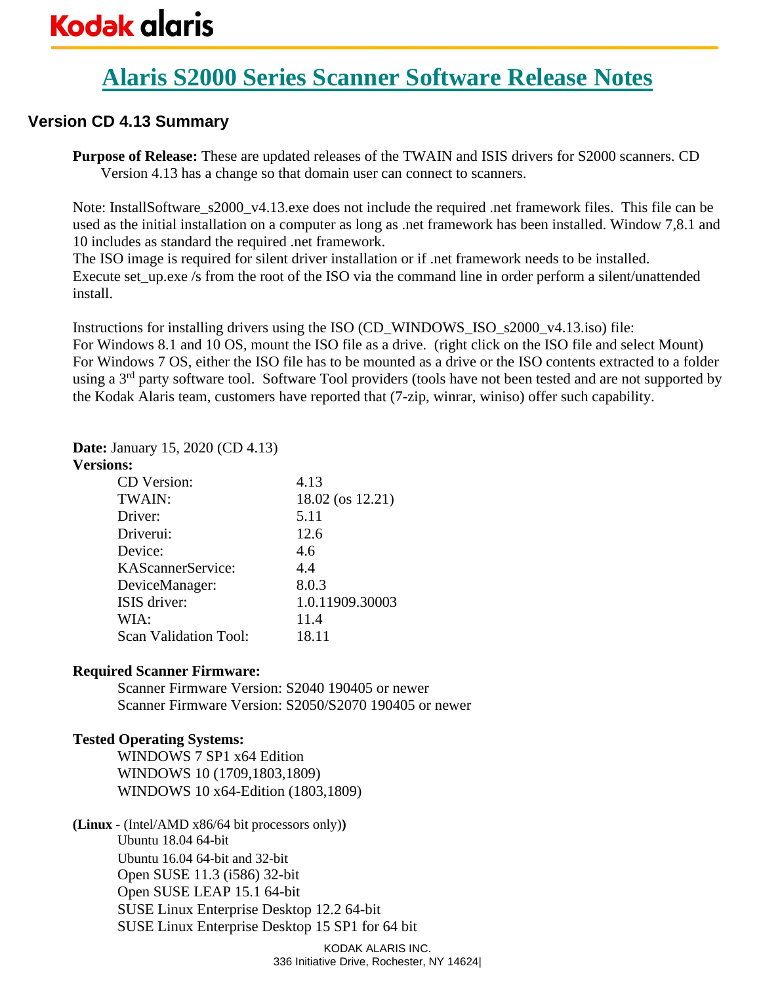# **Alaris S2000 Series Scanner Software Release Notes**

# **Version CD 4.13 Summary**

**Purpose of Release:** These are updated releases of the TWAIN and ISIS drivers for S2000 scanners. CD Version 4.13 has a change so that domain user can connect to scanners.

Note: InstallSoftware\_s2000\_v4.13.exe does not include the required .net framework files. This file can be used as the initial installation on a computer as long as .net framework has been installed. Window 7,8.1 and 10 includes as standard the required .net framework.

The ISO image is required for silent driver installation or if .net framework needs to be installed. Execute set up.exe /s from the root of the ISO via the command line in order perform a silent/unattended install.

Instructions for installing drivers using the ISO (CD\_WINDOWS\_ISO\_s2000\_v4.13.iso) file: For Windows 8.1 and 10 OS, mount the ISO file as a drive. (right click on the ISO file and select Mount) For Windows 7 OS, either the ISO file has to be mounted as a drive or the ISO contents extracted to a folder using a 3<sup>rd</sup> party software tool. Software Tool providers (tools have not been tested and are not supported by the Kodak Alaris team, customers have reported that (7-zip, winrar, winiso) offer such capability.

# **Date:** January 15, 2020 (CD 4.13)

## **Versions:**

| CD Version:                  | 4.13             |
|------------------------------|------------------|
| TWAIN:                       | 18.02 (os 12.21) |
| Driver:                      | 5.11             |
| Driverui:                    | 12.6             |
| Device:                      | 4.6              |
| KAScannerService:            | 4.4              |
| DeviceManager:               | 8.0.3            |
| ISIS driver:                 | 1.0.11909.30003  |
| WIA:                         | 11.4             |
| <b>Scan Validation Tool:</b> | 18.11            |

## **Required Scanner Firmware:**

Scanner Firmware Version: S2040 190405 or newer Scanner Firmware Version: S2050/S2070 190405 or newer

# **Tested Operating Systems:**

WINDOWS 7 SP1 x64 Edition WINDOWS 10 (1709,1803,1809) WINDOWS 10 x64-Edition (1803,1809)

**(Linux -** (Intel/AMD x86/64 bit processors only)**)** Ubuntu 18.04 64-bit Ubuntu 16.04 64-bit and 32-bit Open SUSE 11.3 (i586) 32-bit Open SUSE LEAP 15.1 64-bit SUSE Linux Enterprise Desktop 12.2 64-bit SUSE Linux Enterprise Desktop 15 SP1 for 64 bit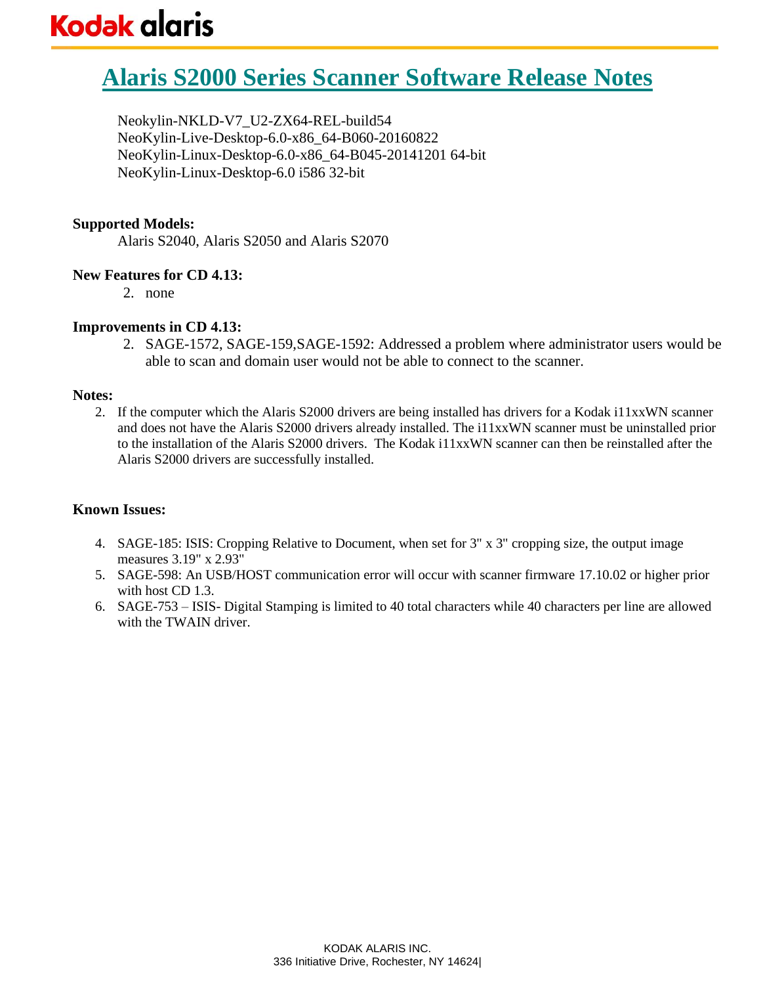# **Alaris S2000 Series Scanner Software Release Notes**

Neokylin-NKLD-V7\_U2-ZX64-REL-build54 NeoKylin-Live-Desktop-6.0-x86\_64-B060-20160822 NeoKylin-Linux-Desktop-6.0-x86\_64-B045-20141201 64-bit NeoKylin-Linux-Desktop-6.0 i586 32-bit

## **Supported Models:**

Alaris S2040, Alaris S2050 and Alaris S2070

# **New Features for CD 4.13:**

2. none

# **Improvements in CD 4.13:**

2. SAGE-1572, SAGE-159,SAGE-1592: Addressed a problem where administrator users would be able to scan and domain user would not be able to connect to the scanner.

## **Notes:**

2. If the computer which the Alaris S2000 drivers are being installed has drivers for a Kodak i11xxWN scanner and does not have the Alaris S2000 drivers already installed. The i11xxWN scanner must be uninstalled prior to the installation of the Alaris S2000 drivers. The Kodak i11xxWN scanner can then be reinstalled after the Alaris S2000 drivers are successfully installed.

- 4. SAGE-185: ISIS: Cropping Relative to Document, when set for 3" x 3" cropping size, the output image measures 3.19" x 2.93"
- 5. SAGE-598: An USB/HOST communication error will occur with scanner firmware 17.10.02 or higher prior with host CD 1.3.
- 6. SAGE-753 ISIS- Digital Stamping is limited to 40 total characters while 40 characters per line are allowed with the TWAIN driver.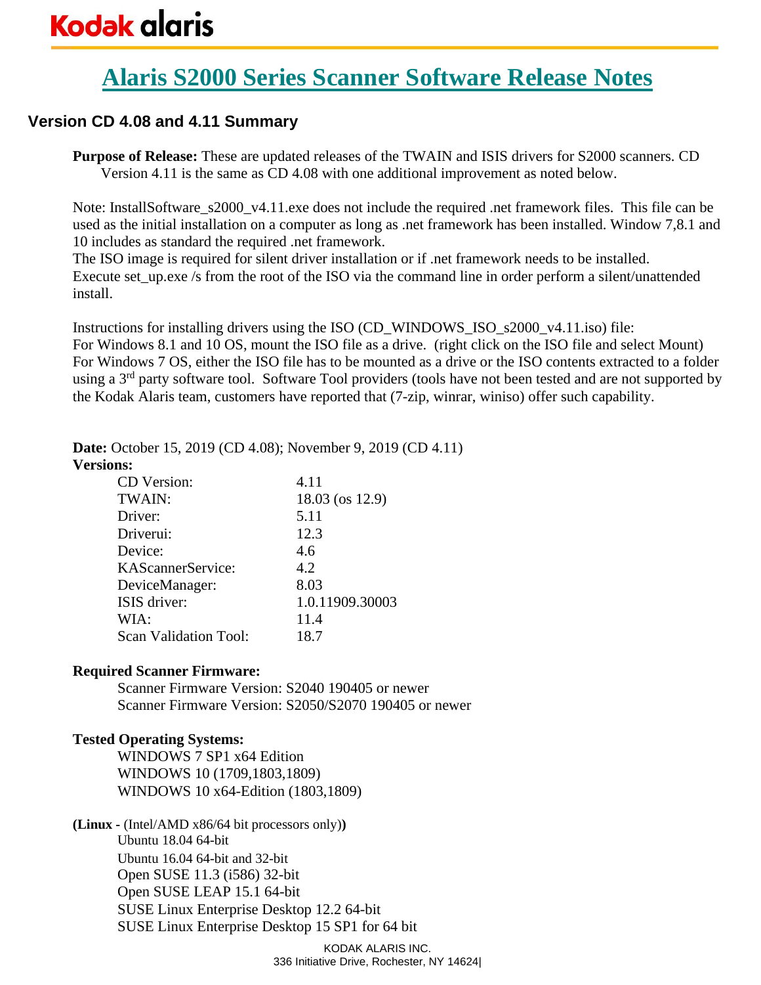# **Alaris S2000 Series Scanner Software Release Notes**

# **Version CD 4.08 and 4.11 Summary**

**Purpose of Release:** These are updated releases of the TWAIN and ISIS drivers for S2000 scanners. CD Version 4.11 is the same as CD 4.08 with one additional improvement as noted below.

Note: InstallSoftware\_s2000\_v4.11.exe does not include the required .net framework files. This file can be used as the initial installation on a computer as long as .net framework has been installed. Window 7,8.1 and 10 includes as standard the required .net framework.

The ISO image is required for silent driver installation or if .net framework needs to be installed. Execute set up.exe /s from the root of the ISO via the command line in order perform a silent/unattended install.

Instructions for installing drivers using the ISO (CD\_WINDOWS\_ISO\_s2000\_v4.11.iso) file: For Windows 8.1 and 10 OS, mount the ISO file as a drive. (right click on the ISO file and select Mount) For Windows 7 OS, either the ISO file has to be mounted as a drive or the ISO contents extracted to a folder using a 3<sup>rd</sup> party software tool. Software Tool providers (tools have not been tested and are not supported by the Kodak Alaris team, customers have reported that (7-zip, winrar, winiso) offer such capability.

**Date:** October 15, 2019 (CD 4.08); November 9, 2019 (CD 4.11)

## **Versions:**

| CD Version:           | 4.11            |
|-----------------------|-----------------|
| TWAIN:                | 18.03 (os 12.9) |
| Driver:               | 5.11            |
| Driverui:             | 12.3            |
| Device:               | 4.6             |
| KAScannerService:     | 4.2             |
| DeviceManager:        | 8.03            |
| ISIS driver:          | 1.0.11909.30003 |
| WIA:                  | 11.4            |
| Scan Validation Tool: | 18.7            |

# **Required Scanner Firmware:**

Scanner Firmware Version: S2040 190405 or newer Scanner Firmware Version: S2050/S2070 190405 or newer

# **Tested Operating Systems:**

WINDOWS 7 SP1 x64 Edition WINDOWS 10 (1709,1803,1809) WINDOWS 10 x64-Edition (1803,1809)

**(Linux -** (Intel/AMD x86/64 bit processors only)**)** Ubuntu 18.04 64-bit Ubuntu 16.04 64-bit and 32-bit Open SUSE 11.3 (i586) 32-bit Open SUSE LEAP 15.1 64-bit SUSE Linux Enterprise Desktop 12.2 64-bit SUSE Linux Enterprise Desktop 15 SP1 for 64 bit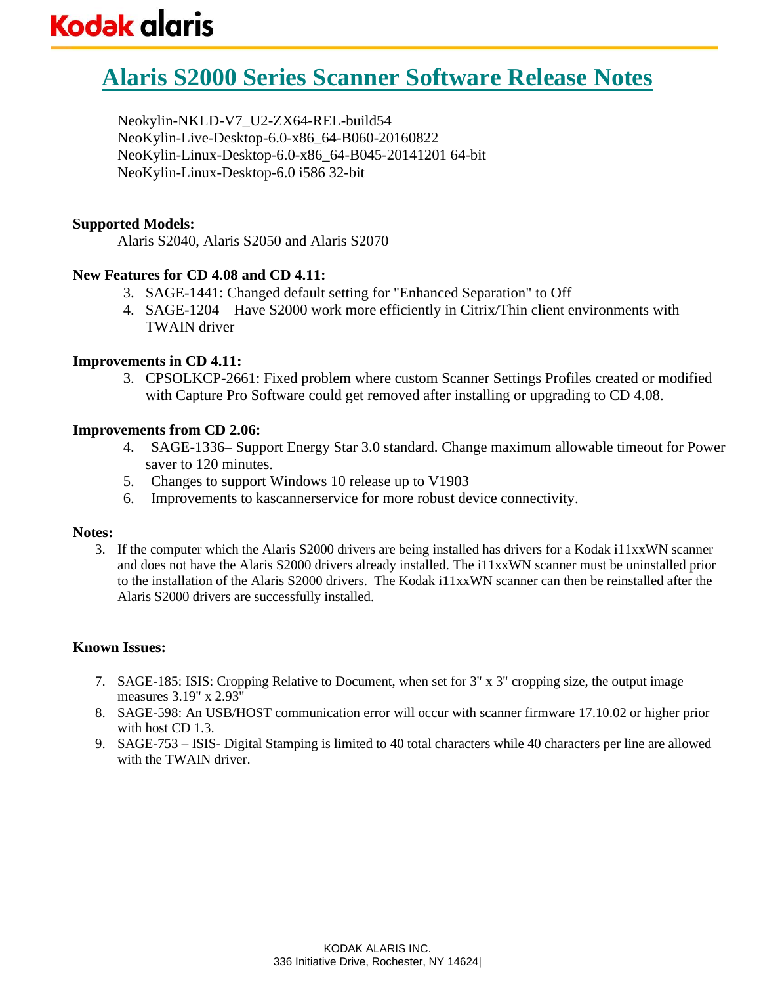# **Alaris S2000 Series Scanner Software Release Notes**

Neokylin-NKLD-V7\_U2-ZX64-REL-build54 NeoKylin-Live-Desktop-6.0-x86\_64-B060-20160822 NeoKylin-Linux-Desktop-6.0-x86\_64-B045-20141201 64-bit NeoKylin-Linux-Desktop-6.0 i586 32-bit

## **Supported Models:**

Alaris S2040, Alaris S2050 and Alaris S2070

# **New Features for CD 4.08 and CD 4.11:**

- 3. SAGE-1441: Changed default setting for "Enhanced Separation" to Off
- 4. SAGE-1204 Have S2000 work more efficiently in Citrix/Thin client environments with TWAIN driver

## **Improvements in CD 4.11:**

3. CPSOLKCP-2661: Fixed problem where custom Scanner Settings Profiles created or modified with Capture Pro Software could get removed after installing or upgrading to CD 4.08.

## **Improvements from CD 2.06:**

- 4. SAGE-1336– Support Energy Star 3.0 standard. Change maximum allowable timeout for Power saver to 120 minutes.
- 5. Changes to support Windows 10 release up to V1903
- 6. Improvements to kascannerservice for more robust device connectivity.

#### **Notes:**

3. If the computer which the Alaris S2000 drivers are being installed has drivers for a Kodak i11xxWN scanner and does not have the Alaris S2000 drivers already installed. The i11xxWN scanner must be uninstalled prior to the installation of the Alaris S2000 drivers. The Kodak i11xxWN scanner can then be reinstalled after the Alaris S2000 drivers are successfully installed.

- 7. SAGE-185: ISIS: Cropping Relative to Document, when set for 3" x 3" cropping size, the output image measures 3.19" x 2.93"
- 8. SAGE-598: An USB/HOST communication error will occur with scanner firmware 17.10.02 or higher prior with host CD 1.3.
- 9. SAGE-753 ISIS- Digital Stamping is limited to 40 total characters while 40 characters per line are allowed with the TWAIN driver.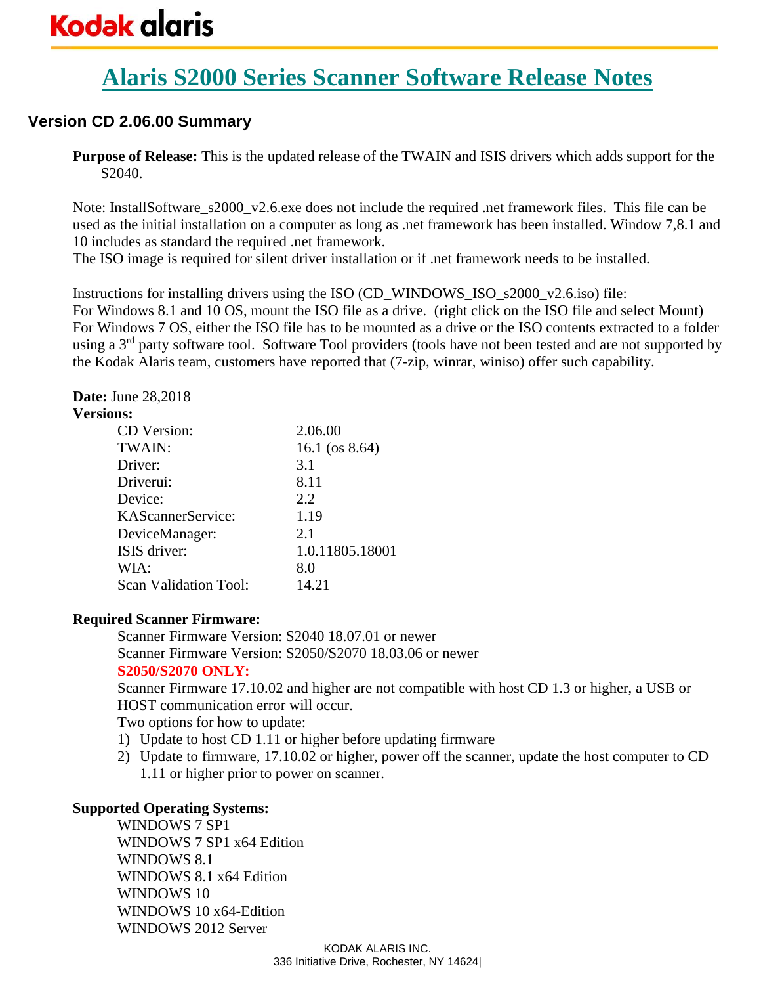# **Alaris S2000 Series Scanner Software Release Notes**

# **Version CD 2.06.00 Summary**

**Purpose of Release:** This is the updated release of the TWAIN and ISIS drivers which adds support for the S2040.

Note: InstallSoftware\_s2000\_v2.6.exe does not include the required .net framework files. This file can be used as the initial installation on a computer as long as .net framework has been installed. Window 7,8.1 and 10 includes as standard the required .net framework.

The ISO image is required for silent driver installation or if .net framework needs to be installed.

Instructions for installing drivers using the ISO (CD\_WINDOWS\_ISO\_s2000\_v2.6.iso) file: For Windows 8.1 and 10 OS, mount the ISO file as a drive. (right click on the ISO file and select Mount) For Windows 7 OS, either the ISO file has to be mounted as a drive or the ISO contents extracted to a folder using a 3<sup>rd</sup> party software tool. Software Tool providers (tools have not been tested and are not supported by the Kodak Alaris team, customers have reported that (7-zip, winrar, winiso) offer such capability.

# **Date:** June 28,2018

## **Versions:**

| CD Version:                  | 2.06.00           |
|------------------------------|-------------------|
| TWAIN:                       | 16.1 (os $8.64$ ) |
| Driver:                      | 3.1               |
| Driverui:                    | 8.11              |
| Device:                      | 2.2               |
| KAScannerService:            | 1.19              |
| DeviceManager:               | 2.1               |
| ISIS driver:                 | 1.0.11805.18001   |
| WIA:                         | 8.0               |
| <b>Scan Validation Tool:</b> | 14.21             |

# **Required Scanner Firmware:**

Scanner Firmware Version: S2040 18.07.01 or newer Scanner Firmware Version: S2050/S2070 18.03.06 or newer **S2050/S2070 ONLY:**

Scanner Firmware 17.10.02 and higher are not compatible with host CD 1.3 or higher, a USB or HOST communication error will occur.

Two options for how to update:

- 1) Update to host CD 1.11 or higher before updating firmware
- 2) Update to firmware, 17.10.02 or higher, power off the scanner, update the host computer to CD 1.11 or higher prior to power on scanner.

# **Supported Operating Systems:**

WINDOWS 7 SP1 WINDOWS 7 SP1 x64 Edition WINDOWS 8.1 WINDOWS 8.1 x64 Edition WINDOWS 10 WINDOWS 10 x64-Edition WINDOWS 2012 Server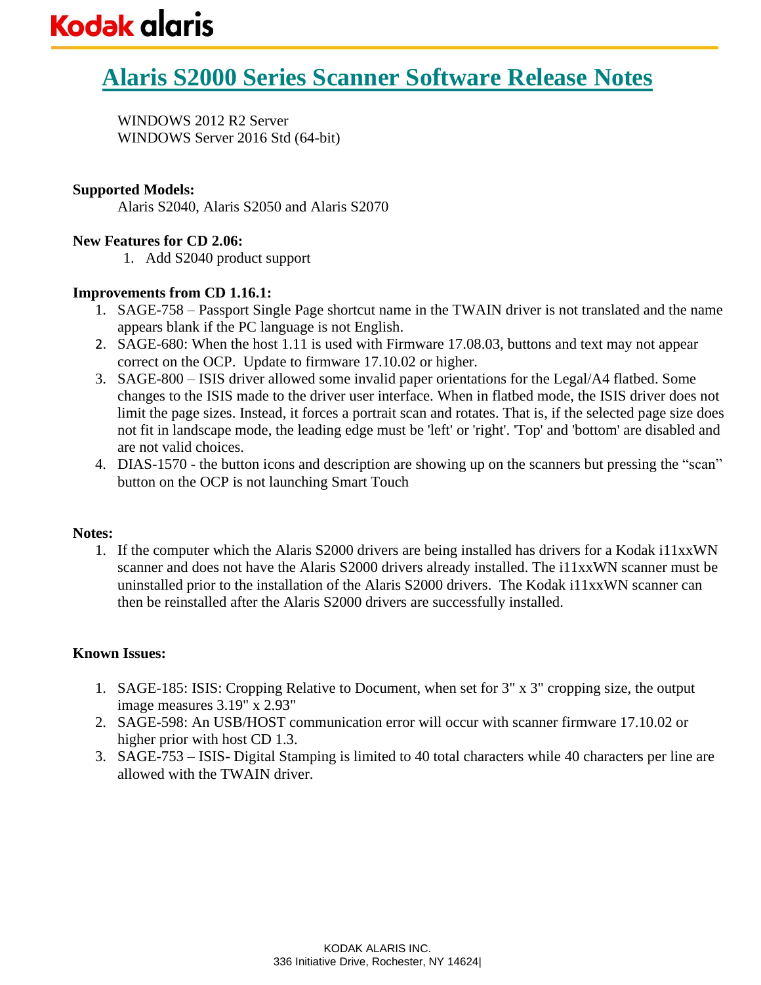WINDOWS 2012 R2 Server WINDOWS Server 2016 Std (64-bit)

# **Supported Models:**

Alaris S2040, Alaris S2050 and Alaris S2070

# **New Features for CD 2.06:**

1. Add S2040 product support

# **Improvements from CD 1.16.1:**

- 1. SAGE-758 Passport Single Page shortcut name in the TWAIN driver is not translated and the name appears blank if the PC language is not English.
- 2. SAGE-680: When the host 1.11 is used with Firmware 17.08.03, buttons and text may not appear correct on the OCP. Update to firmware 17.10.02 or higher.
- 3. SAGE-800 ISIS driver allowed some invalid paper orientations for the Legal/A4 flatbed. Some changes to the ISIS made to the driver user interface. When in flatbed mode, the ISIS driver does not limit the page sizes. Instead, it forces a portrait scan and rotates. That is, if the selected page size does not fit in landscape mode, the leading edge must be 'left' or 'right'. 'Top' and 'bottom' are disabled and are not valid choices.
- 4. DIAS-1570 the button icons and description are showing up on the scanners but pressing the "scan" button on the OCP is not launching Smart Touch

## **Notes:**

1. If the computer which the Alaris S2000 drivers are being installed has drivers for a Kodak i11xxWN scanner and does not have the Alaris S2000 drivers already installed. The i11xxWN scanner must be uninstalled prior to the installation of the Alaris S2000 drivers. The Kodak i11xxWN scanner can then be reinstalled after the Alaris S2000 drivers are successfully installed.

- 1. SAGE-185: ISIS: Cropping Relative to Document, when set for 3" x 3" cropping size, the output image measures 3.19" x 2.93"
- 2. SAGE-598: An USB/HOST communication error will occur with scanner firmware 17.10.02 or higher prior with host CD 1.3.
- 3. SAGE-753 ISIS- Digital Stamping is limited to 40 total characters while 40 characters per line are allowed with the TWAIN driver.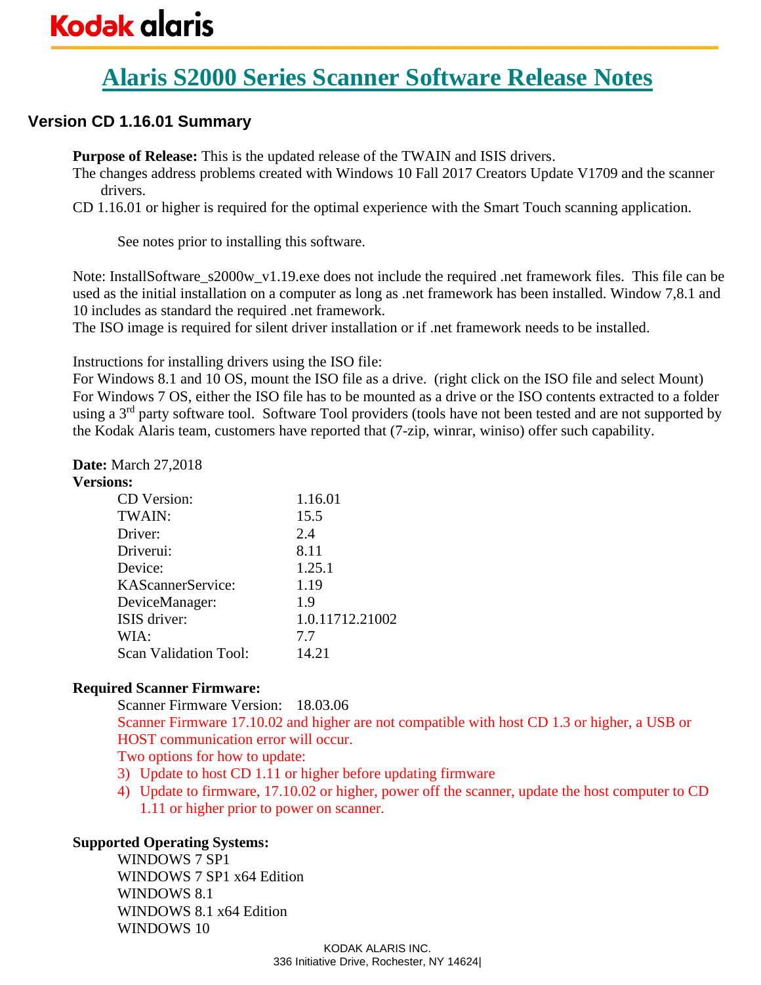# **Alaris S2000 Series Scanner Software Release Notes**

# **Version CD 1.16.01 Summary**

**Purpose of Release:** This is the updated release of the TWAIN and ISIS drivers.

The changes address problems created with Windows 10 Fall 2017 Creators Update V1709 and the scanner drivers.

CD 1.16.01 or higher is required for the optimal experience with the Smart Touch scanning application.

See notes prior to installing this software.

Note: InstallSoftware\_s2000w\_v1.19.exe does not include the required .net framework files. This file can be used as the initial installation on a computer as long as .net framework has been installed. Window 7,8.1 and 10 includes as standard the required .net framework.

The ISO image is required for silent driver installation or if .net framework needs to be installed.

Instructions for installing drivers using the ISO file:

For Windows 8.1 and 10 OS, mount the ISO file as a drive. (right click on the ISO file and select Mount) For Windows 7 OS, either the ISO file has to be mounted as a drive or the ISO contents extracted to a folder using a 3<sup>rd</sup> party software tool. Software Tool providers (tools have not been tested and are not supported by the Kodak Alaris team, customers have reported that (7-zip, winrar, winiso) offer such capability.

# **Date:** March 27,2018

# **Versions:**

| CD Version:                  | 1.16.01         |
|------------------------------|-----------------|
| TWAIN:                       | 15.5            |
| Driver:                      | 2.4             |
| Driverui:                    | 8.11            |
| Device:                      | 1.25.1          |
| KAScannerService:            | 1.19            |
| DeviceManager:               | 1.9             |
| ISIS driver:                 | 1.0.11712.21002 |
| WIA:                         | 7.7             |
| <b>Scan Validation Tool:</b> | 14.21           |

# **Required Scanner Firmware:**

Scanner Firmware Version: 18.03.06 Scanner Firmware 17.10.02 and higher are not compatible with host CD 1.3 or higher, a USB or HOST communication error will occur. Two options for how to update:

- 3) Update to host CD 1.11 or higher before updating firmware
- 4) Update to firmware, 17.10.02 or higher, power off the scanner, update the host computer to CD 1.11 or higher prior to power on scanner.

# **Supported Operating Systems:**

WINDOWS 7 SP1 WINDOWS 7 SP1 x64 Edition WINDOWS 8.1 WINDOWS 8.1 x64 Edition WINDOWS 10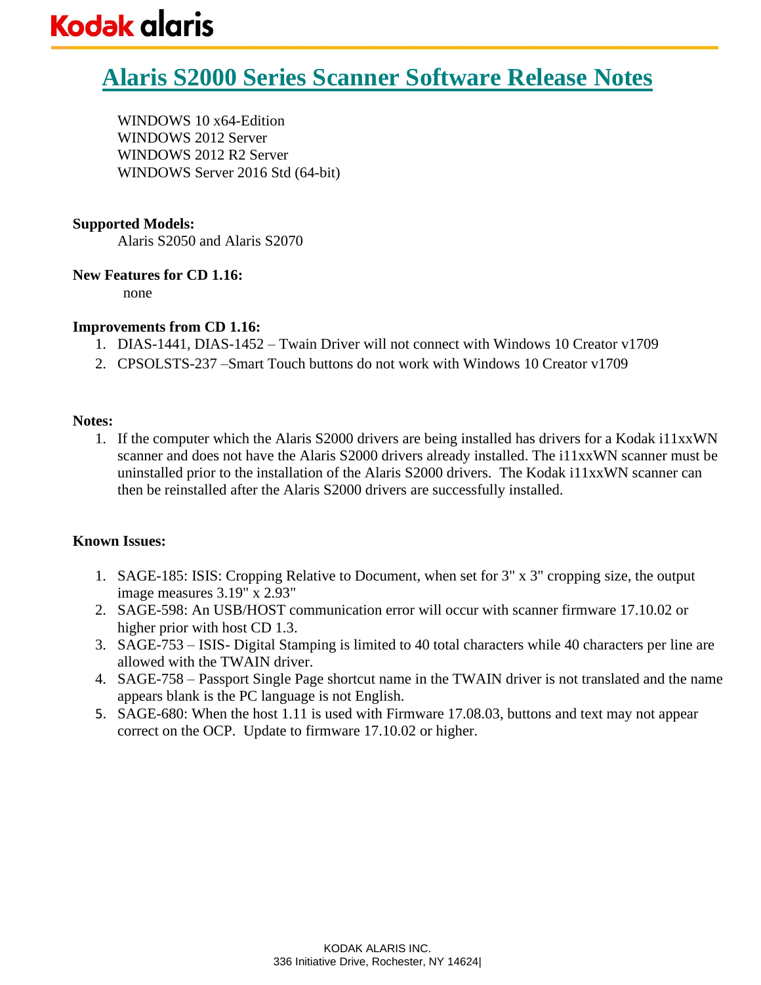WINDOWS 10 x64-Edition WINDOWS 2012 Server WINDOWS 2012 R2 Server WINDOWS Server 2016 Std (64-bit)

# **Supported Models:**

Alaris S2050 and Alaris S2070

## **New Features for CD 1.16:**

none

# **Improvements from CD 1.16:**

- 1. DIAS-1441, DIAS-1452 Twain Driver will not connect with Windows 10 Creator v1709
- 2. CPSOLSTS-237 –Smart Touch buttons do not work with Windows 10 Creator v1709

## **Notes:**

1. If the computer which the Alaris S2000 drivers are being installed has drivers for a Kodak i11xxWN scanner and does not have the Alaris S2000 drivers already installed. The i11xxWN scanner must be uninstalled prior to the installation of the Alaris S2000 drivers. The Kodak i11xxWN scanner can then be reinstalled after the Alaris S2000 drivers are successfully installed.

- 1. SAGE-185: ISIS: Cropping Relative to Document, when set for 3" x 3" cropping size, the output image measures 3.19" x 2.93"
- 2. SAGE-598: An USB/HOST communication error will occur with scanner firmware 17.10.02 or higher prior with host CD 1.3.
- 3. SAGE-753 ISIS- Digital Stamping is limited to 40 total characters while 40 characters per line are allowed with the TWAIN driver.
- 4. SAGE-758 Passport Single Page shortcut name in the TWAIN driver is not translated and the name appears blank is the PC language is not English.
- 5. SAGE-680: When the host 1.11 is used with Firmware 17.08.03, buttons and text may not appear correct on the OCP. Update to firmware 17.10.02 or higher.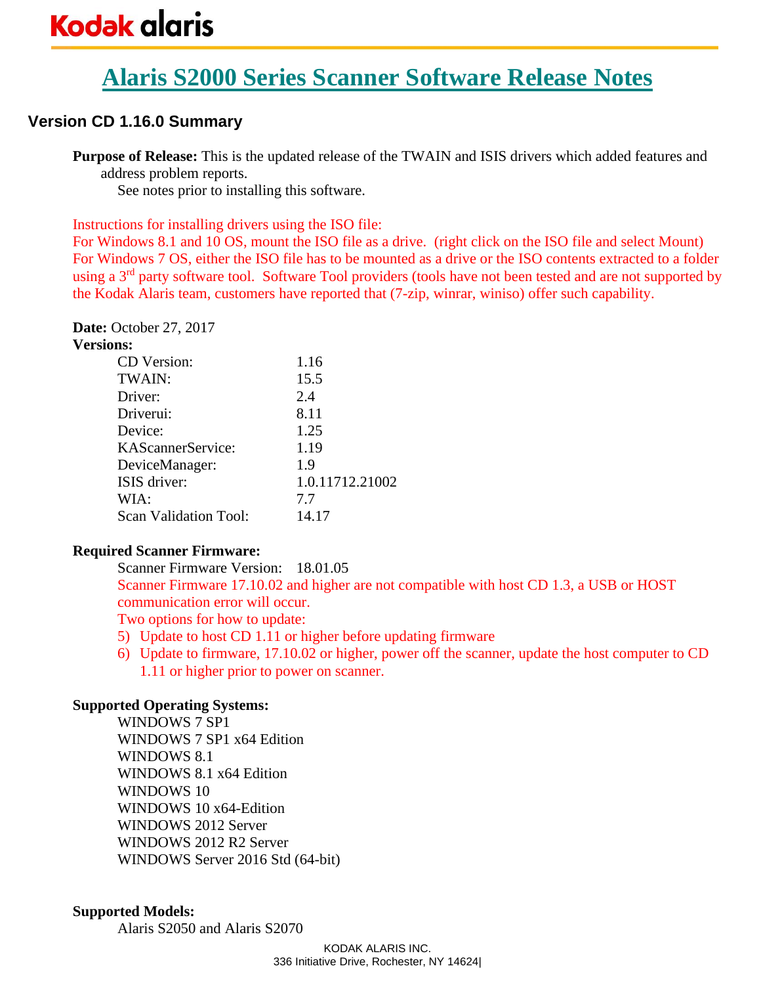# **Alaris S2000 Series Scanner Software Release Notes**

# **Version CD 1.16.0 Summary**

**Purpose of Release:** This is the updated release of the TWAIN and ISIS drivers which added features and address problem reports.

See notes prior to installing this software.

Instructions for installing drivers using the ISO file:

For Windows 8.1 and 10 OS, mount the ISO file as a drive. (right click on the ISO file and select Mount) For Windows 7 OS, either the ISO file has to be mounted as a drive or the ISO contents extracted to a folder using a 3<sup>rd</sup> party software tool. Software Tool providers (tools have not been tested and are not supported by the Kodak Alaris team, customers have reported that (7-zip, winrar, winiso) offer such capability.

**Date:** October 27, 2017 **Versions:**

| шs.                          |                 |
|------------------------------|-----------------|
| <b>CD</b> Version:           | 1.16            |
| TWAIN:                       | 15.5            |
| Driver:                      | 2.4             |
| Driverui:                    | 8.11            |
| Device:                      | 1.25            |
| KAScannerService:            | 1.19            |
| DeviceManager:               | 1.9             |
| ISIS driver:                 | 1.0.11712.21002 |
| WIA:                         | 7.7             |
| <b>Scan Validation Tool:</b> | 14.17           |
|                              |                 |

## **Required Scanner Firmware:**

Scanner Firmware Version: 18.01.05 Scanner Firmware 17.10.02 and higher are not compatible with host CD 1.3, a USB or HOST communication error will occur. Two options for how to update:

- 5) Update to host CD 1.11 or higher before updating firmware
- 6) Update to firmware, 17.10.02 or higher, power off the scanner, update the host computer to CD 1.11 or higher prior to power on scanner.

## **Supported Operating Systems:**

WINDOWS 7 SP1 WINDOWS 7 SP1 x64 Edition WINDOWS 8.1 WINDOWS 8.1 x64 Edition WINDOWS 10 WINDOWS 10 x64-Edition WINDOWS 2012 Server WINDOWS 2012 R2 Server WINDOWS Server 2016 Std (64-bit)

#### **Supported Models:**

Alaris S2050 and Alaris S2070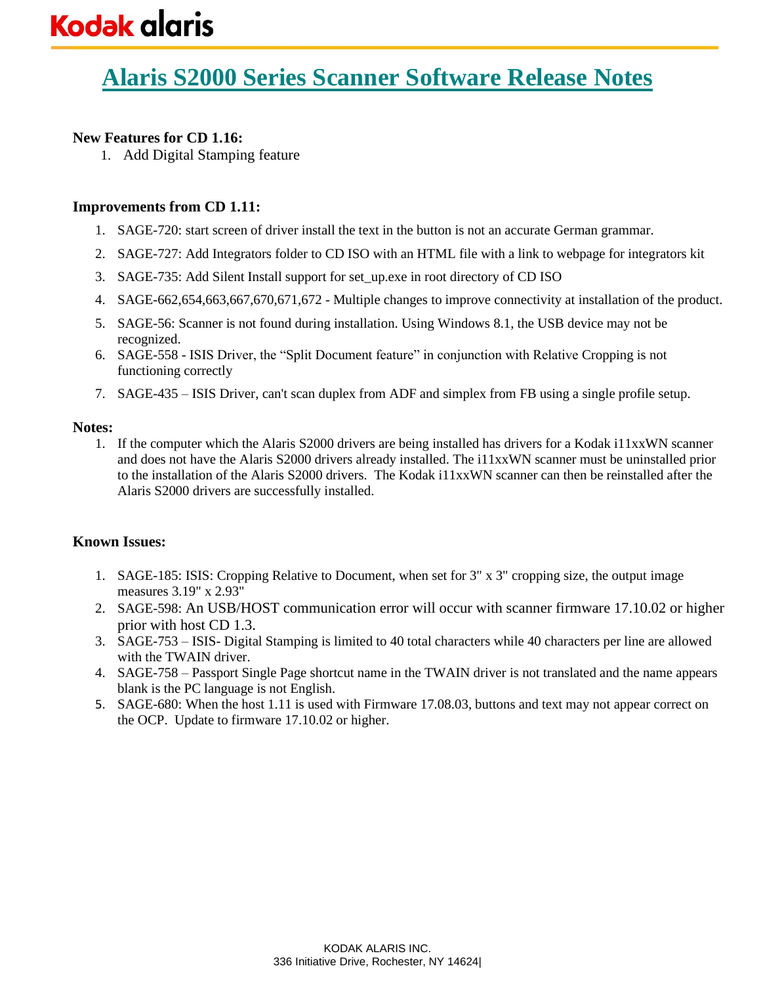# **New Features for CD 1.16:**

1. Add Digital Stamping feature

# **Improvements from CD 1.11:**

- 1. SAGE-720: start screen of driver install the text in the button is not an accurate German grammar.
- 2. SAGE-727: Add Integrators folder to CD ISO with an HTML file with a link to webpage for integrators kit
- 3. SAGE-735: Add Silent Install support for set\_up.exe in root directory of CD ISO
- 4. SAGE-662,654,663,667,670,671,672 Multiple changes to improve connectivity at installation of the product.
- 5. SAGE-56: Scanner is not found during installation. Using Windows 8.1, the USB device may not be recognized.
- 6. SAGE-558 ISIS Driver, the "Split Document feature" in conjunction with Relative Cropping is not functioning correctly
- 7. SAGE-435 ISIS Driver, can't scan duplex from ADF and simplex from FB using a single profile setup.

## **Notes:**

1. If the computer which the Alaris S2000 drivers are being installed has drivers for a Kodak i11xxWN scanner and does not have the Alaris S2000 drivers already installed. The i11xxWN scanner must be uninstalled prior to the installation of the Alaris S2000 drivers. The Kodak i11xxWN scanner can then be reinstalled after the Alaris S2000 drivers are successfully installed.

- 1. SAGE-185: ISIS: Cropping Relative to Document, when set for 3" x 3" cropping size, the output image measures 3.19" x 2.93"
- 2. SAGE-598: An USB/HOST communication error will occur with scanner firmware 17.10.02 or higher prior with host CD 1.3.
- 3. SAGE-753 ISIS- Digital Stamping is limited to 40 total characters while 40 characters per line are allowed with the TWAIN driver.
- 4. SAGE-758 Passport Single Page shortcut name in the TWAIN driver is not translated and the name appears blank is the PC language is not English.
- 5. SAGE-680: When the host 1.11 is used with Firmware 17.08.03, buttons and text may not appear correct on the OCP. Update to firmware 17.10.02 or higher.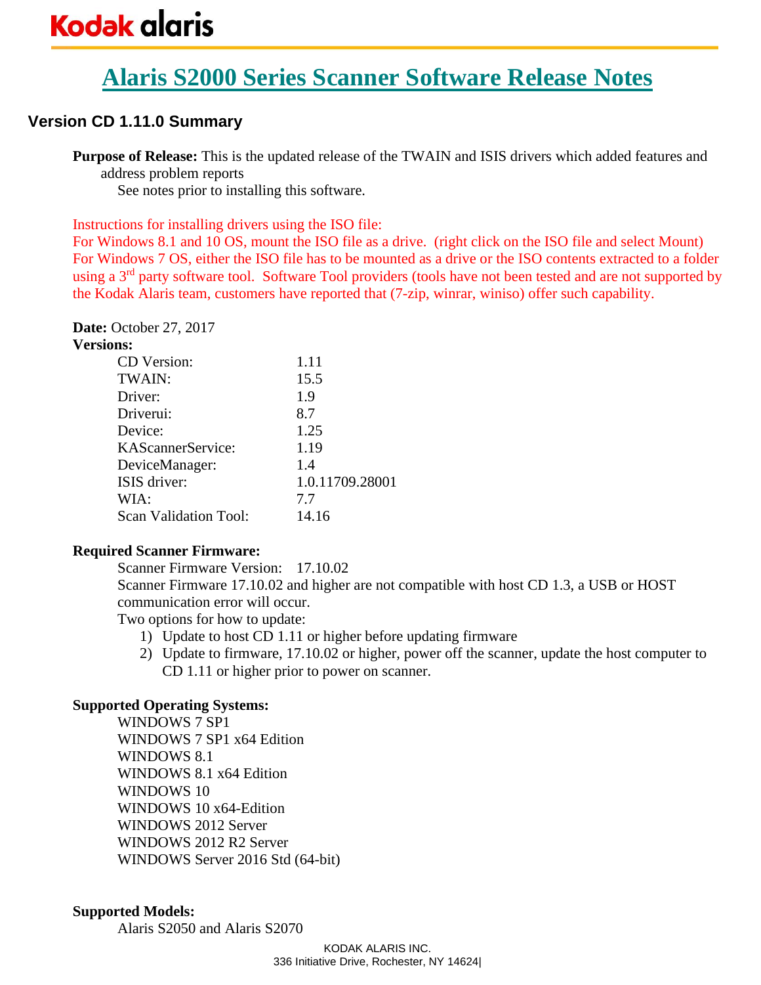# **Alaris S2000 Series Scanner Software Release Notes**

# **Version CD 1.11.0 Summary**

**Purpose of Release:** This is the updated release of the TWAIN and ISIS drivers which added features and address problem reports

See notes prior to installing this software.

Instructions for installing drivers using the ISO file:

For Windows 8.1 and 10 OS, mount the ISO file as a drive. (right click on the ISO file and select Mount) For Windows 7 OS, either the ISO file has to be mounted as a drive or the ISO contents extracted to a folder using a 3<sup>rd</sup> party software tool. Software Tool providers (tools have not been tested and are not supported by the Kodak Alaris team, customers have reported that (7-zip, winrar, winiso) offer such capability.

**Date:** October 27, 2017 **Versions:**

| шs.                          |                 |
|------------------------------|-----------------|
| <b>CD</b> Version:           | 1.11            |
| TWAIN:                       | 15.5            |
| Driver:                      | 1.9             |
| Driverui:                    | 8.7             |
| Device:                      | 1.25            |
| KAScannerService:            | 1.19            |
| DeviceManager:               | 14              |
| ISIS driver:                 | 1.0.11709.28001 |
| WIA:                         | 7.7             |
| <b>Scan Validation Tool:</b> | 14.16           |
|                              |                 |

## **Required Scanner Firmware:**

Scanner Firmware Version: 17.10.02

Scanner Firmware 17.10.02 and higher are not compatible with host CD 1.3, a USB or HOST communication error will occur.

Two options for how to update:

- 1) Update to host CD 1.11 or higher before updating firmware
- 2) Update to firmware, 17.10.02 or higher, power off the scanner, update the host computer to CD 1.11 or higher prior to power on scanner.

## **Supported Operating Systems:**

WINDOWS 7 SP1 WINDOWS 7 SP1 x64 Edition WINDOWS 8.1 WINDOWS 8.1 x64 Edition WINDOWS 10 WINDOWS 10 x64-Edition WINDOWS 2012 Server WINDOWS 2012 R2 Server WINDOWS Server 2016 Std (64-bit)

#### **Supported Models:**

Alaris S2050 and Alaris S2070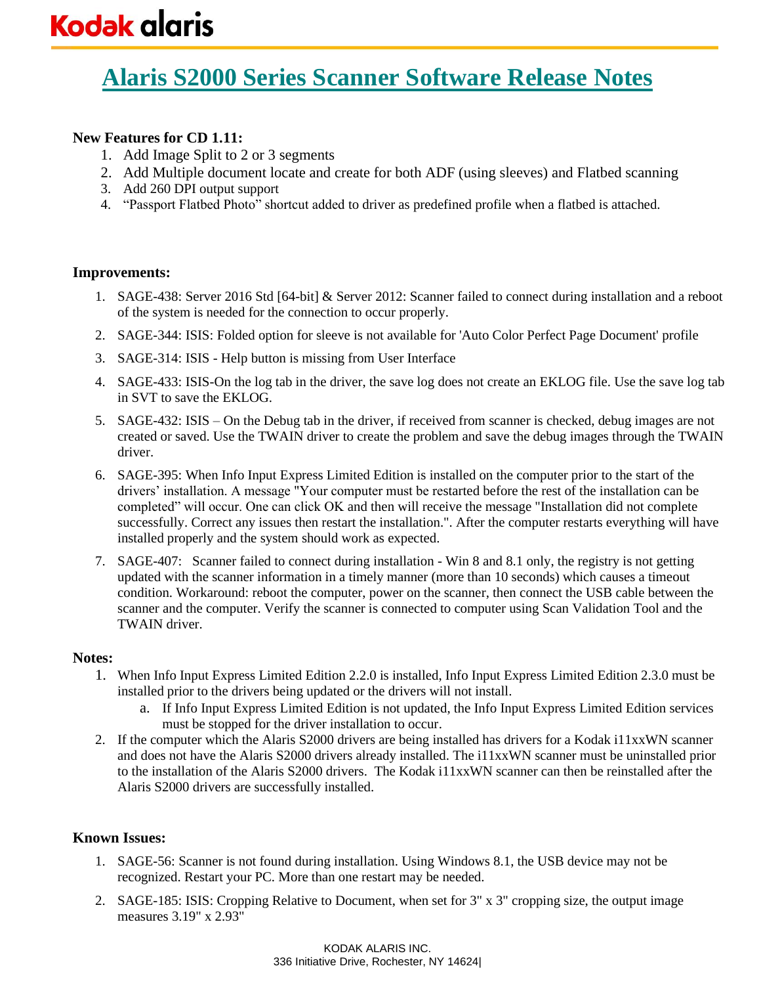# **New Features for CD 1.11:**

- 1. Add Image Split to 2 or 3 segments
- 2. Add Multiple document locate and create for both ADF (using sleeves) and Flatbed scanning
- 3. Add 260 DPI output support
- 4. "Passport Flatbed Photo" shortcut added to driver as predefined profile when a flatbed is attached.

#### **Improvements:**

- 1. SAGE-438: Server 2016 Std [64-bit] & Server 2012: Scanner failed to connect during installation and a reboot of the system is needed for the connection to occur properly.
- 2. SAGE-344: ISIS: Folded option for sleeve is not available for 'Auto Color Perfect Page Document' profile
- 3. SAGE-314: ISIS Help button is missing from User Interface
- 4. SAGE-433: ISIS-On the log tab in the driver, the save log does not create an EKLOG file. Use the save log tab in SVT to save the EKLOG.
- 5. SAGE-432: ISIS On the Debug tab in the driver, if received from scanner is checked, debug images are not created or saved. Use the TWAIN driver to create the problem and save the debug images through the TWAIN driver.
- 6. SAGE-395: When Info Input Express Limited Edition is installed on the computer prior to the start of the drivers' installation. A message "Your computer must be restarted before the rest of the installation can be completed" will occur. One can click OK and then will receive the message "Installation did not complete successfully. Correct any issues then restart the installation.". After the computer restarts everything will have installed properly and the system should work as expected.
- 7. SAGE-407: Scanner failed to connect during installation Win 8 and 8.1 only, the registry is not getting updated with the scanner information in a timely manner (more than 10 seconds) which causes a timeout condition. Workaround: reboot the computer, power on the scanner, then connect the USB cable between the scanner and the computer. Verify the scanner is connected to computer using Scan Validation Tool and the TWAIN driver.

#### **Notes:**

- 1. When Info Input Express Limited Edition 2.2.0 is installed, Info Input Express Limited Edition 2.3.0 must be installed prior to the drivers being updated or the drivers will not install.
	- a. If Info Input Express Limited Edition is not updated, the Info Input Express Limited Edition services must be stopped for the driver installation to occur.
- 2. If the computer which the Alaris S2000 drivers are being installed has drivers for a Kodak i11xxWN scanner and does not have the Alaris S2000 drivers already installed. The i11xxWN scanner must be uninstalled prior to the installation of the Alaris S2000 drivers. The Kodak i11xxWN scanner can then be reinstalled after the Alaris S2000 drivers are successfully installed.

- 1. SAGE-56: Scanner is not found during installation. Using Windows 8.1, the USB device may not be recognized. Restart your PC. More than one restart may be needed.
- 2. SAGE-185: ISIS: Cropping Relative to Document, when set for 3" x 3" cropping size, the output image measures 3.19" x 2.93"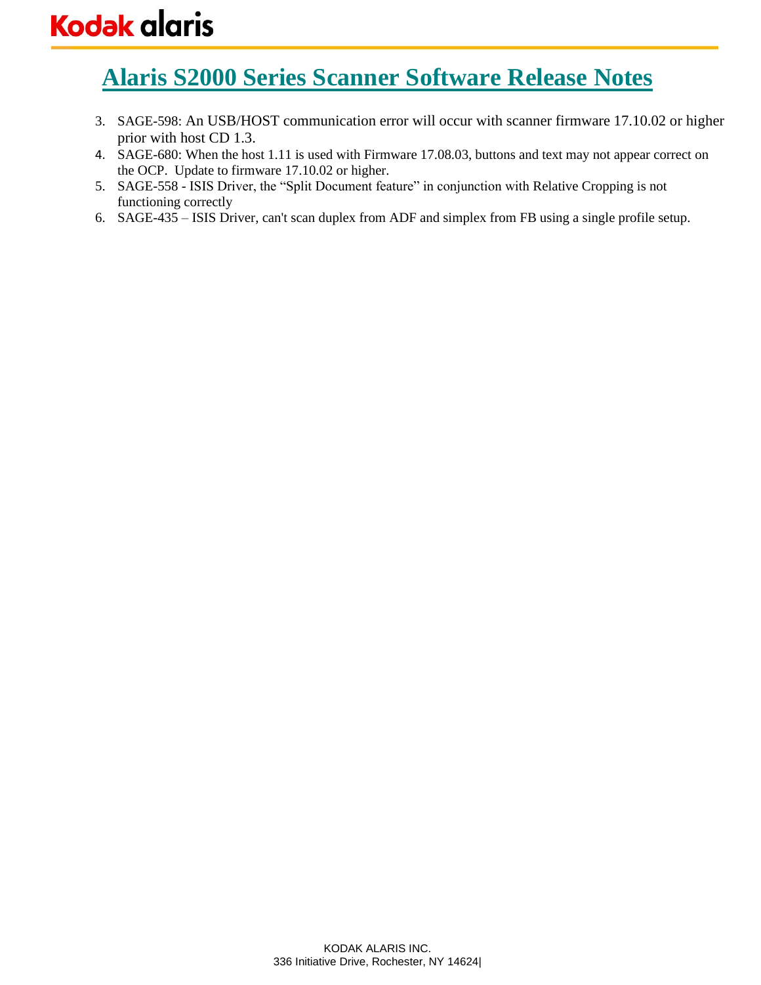- 3. SAGE-598: An USB/HOST communication error will occur with scanner firmware 17.10.02 or higher prior with host CD 1.3.
- 4. SAGE-680: When the host 1.11 is used with Firmware 17.08.03, buttons and text may not appear correct on the OCP. Update to firmware 17.10.02 or higher.
- 5. SAGE-558 ISIS Driver, the "Split Document feature" in conjunction with Relative Cropping is not functioning correctly
- 6. SAGE-435 ISIS Driver, can't scan duplex from ADF and simplex from FB using a single profile setup.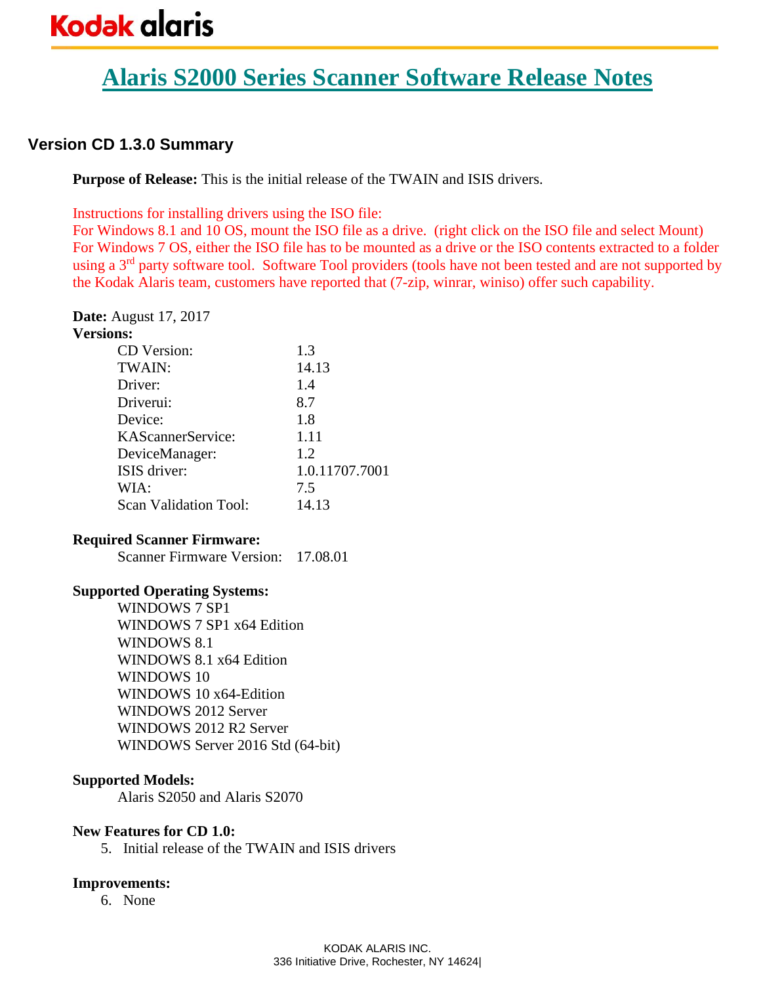# **Alaris S2000 Series Scanner Software Release Notes**

# **Version CD 1.3.0 Summary**

**Purpose of Release:** This is the initial release of the TWAIN and ISIS drivers.

Instructions for installing drivers using the ISO file:

For Windows 8.1 and 10 OS, mount the ISO file as a drive. (right click on the ISO file and select Mount) For Windows 7 OS, either the ISO file has to be mounted as a drive or the ISO contents extracted to a folder using a 3<sup>rd</sup> party software tool. Software Tool providers (tools have not been tested and are not supported by the Kodak Alaris team, customers have reported that (7-zip, winrar, winiso) offer such capability.

**Date:** August 17, 2017

| <b>Versions:</b>      |                |
|-----------------------|----------------|
| CD Version:           | 1.3            |
| TWAIN:                | 14.13          |
| Driver:               | 1.4            |
| Driverui:             | 8.7            |
| Device:               | 1.8            |
| KAScannerService:     | 1.11           |
| DeviceManager:        | 1.2            |
| ISIS driver:          | 1.0.11707.7001 |
| WIA:                  | 7.5            |
| Scan Validation Tool: | 14.13          |

## **Required Scanner Firmware:**

Scanner Firmware Version: 17.08.01

## **Supported Operating Systems:**

WINDOWS 7 SP1 WINDOWS 7 SP1 x64 Edition WINDOWS 8.1 WINDOWS 8.1 x64 Edition WINDOWS 10 WINDOWS 10 x64-Edition WINDOWS 2012 Server WINDOWS 2012 R2 Server WINDOWS Server 2016 Std (64-bit)

# **Supported Models:**

Alaris S2050 and Alaris S2070

## **New Features for CD 1.0:**

5. Initial release of the TWAIN and ISIS drivers

## **Improvements:**

6. None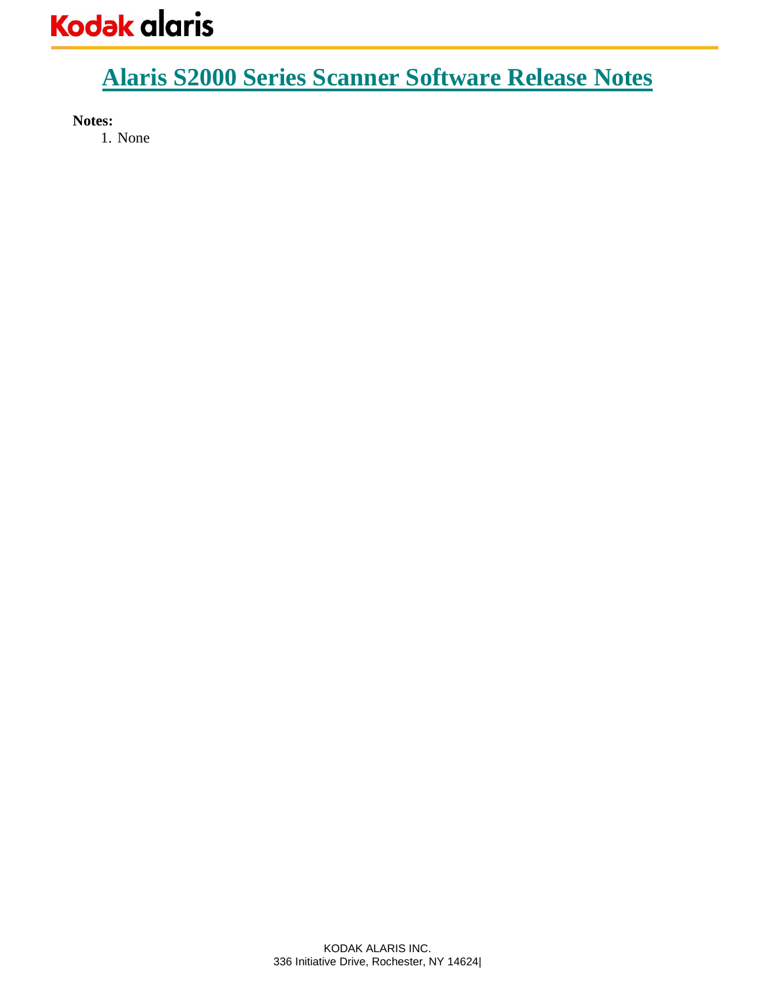**Notes:** 

1. None